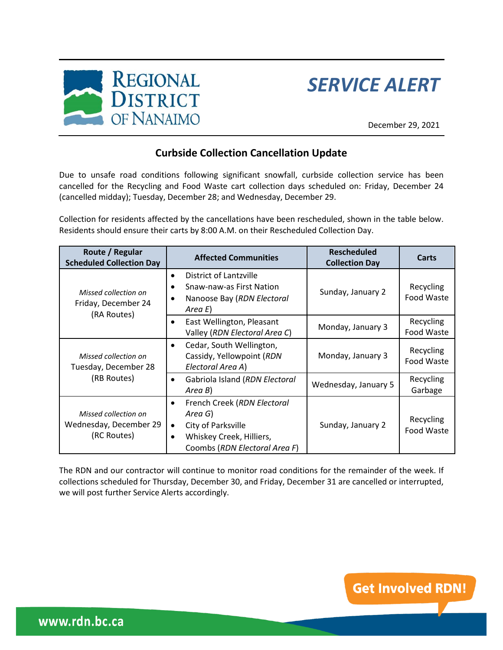

## *SERVICE ALERT*

December 29, 2021

**Get Involved RDN!** 

## **Curbside Collection Cancellation Update**

Due to unsafe road conditions following significant snowfall, curbside collection service has been cancelled for the Recycling and Food Waste cart collection days scheduled on: Friday, December 24 (cancelled midday); Tuesday, December 28; and Wednesday, December 29.

Collection for residents affected by the cancellations have been rescheduled, shown in the table below. Residents should ensure their carts by 8:00 A.M. on their Rescheduled Collection Day.

| Route / Regular<br><b>Scheduled Collection Day</b>            | <b>Affected Communities</b>                                                                                                                                      | <b>Rescheduled</b><br><b>Collection Day</b> | Carts                   |
|---------------------------------------------------------------|------------------------------------------------------------------------------------------------------------------------------------------------------------------|---------------------------------------------|-------------------------|
| Missed collection on<br>Friday, December 24<br>(RA Routes)    | District of Lantzville<br>$\bullet$<br>Snaw-naw-as First Nation<br>$\bullet$<br>Nanoose Bay (RDN Electoral<br>$\bullet$<br>Area E)                               | Sunday, January 2                           | Recycling<br>Food Waste |
|                                                               | East Wellington, Pleasant<br>$\bullet$<br>Valley (RDN Electoral Area C)                                                                                          | Monday, January 3                           | Recycling<br>Food Waste |
| Missed collection on<br>Tuesday, December 28<br>(RB Routes)   | Cedar, South Wellington,<br>$\bullet$<br>Cassidy, Yellowpoint (RDN<br>Electoral Area A)                                                                          | Monday, January 3                           | Recycling<br>Food Waste |
|                                                               | Gabriola Island (RDN Electoral<br>$\bullet$<br>Area B)                                                                                                           | Wednesday, January 5                        | Recycling<br>Garbage    |
| Missed collection on<br>Wednesday, December 29<br>(RC Routes) | French Creek (RDN Electoral<br>$\bullet$<br>Area G)<br>City of Parksville<br>$\bullet$<br>Whiskey Creek, Hilliers,<br>$\bullet$<br>Coombs (RDN Electoral Area F) | Sunday, January 2                           | Recycling<br>Food Waste |

The RDN and our contractor will continue to monitor road conditions for the remainder of the week. If collections scheduled for Thursday, December 30, and Friday, December 31 are cancelled or interrupted, we will post further Service Alerts accordingly.